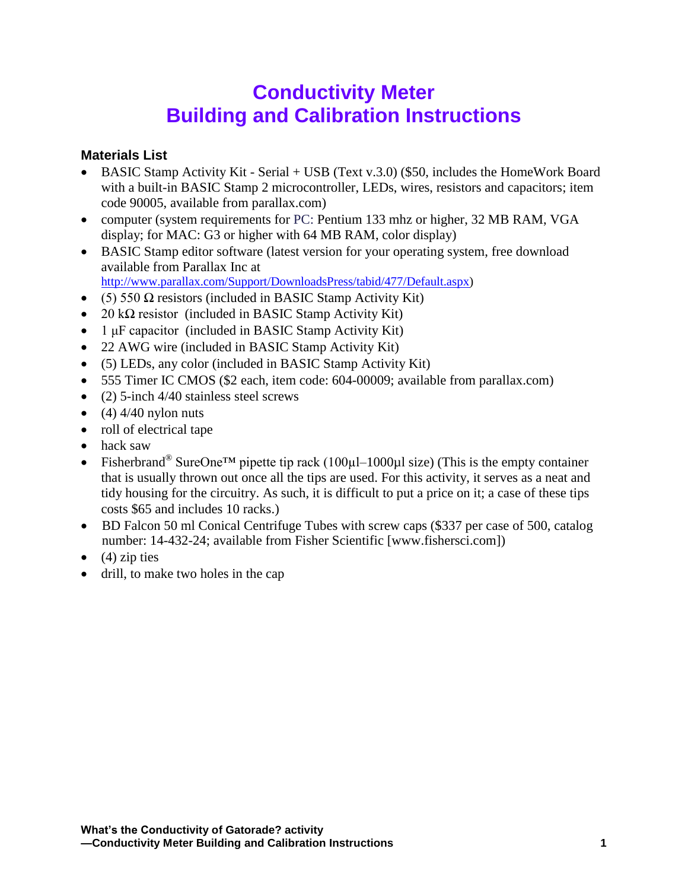## **Conductivity Meter Building and Calibration Instructions**

## **Materials List**

- BASIC Stamp Activity Kit Serial + USB (Text v.3.0) (\$50, includes the HomeWork Board with a built-in BASIC Stamp 2 microcontroller, LEDs, wires, resistors and capacitors; item code 90005, available from parallax.com)
- computer (system requirements for PC: Pentium 133 mhz or higher, 32 MB RAM, VGA display; for MAC: G3 or higher with 64 MB RAM, color display)
- BASIC Stamp editor software (latest version for your operating system, free download available from Parallax Inc at [http://www.parallax.com/Support/DownloadsPress/tabid/477/Default.aspx\)](http://www.parallax.com/Support/DownloadsPress/tabid/477/Default.aspx)
- (5) 550  $\Omega$  resistors (included in BASIC Stamp Activity Kit)
- 20 k $\Omega$  resistor (included in BASIC Stamp Activity Kit)
- $\bullet$  1 μF capacitor (included in BASIC Stamp Activity Kit)
- 22 AWG wire (included in BASIC Stamp Activity Kit)
- (5) LEDs, any color (included in BASIC Stamp Activity Kit)
- 555 Timer IC CMOS (\$2 each, item code: 604-00009; available from parallax.com)
- $\bullet$  (2) 5-inch 4/40 stainless steel screws
- $\bullet$  (4) 4/40 nylon nuts
- roll of electrical tape
- hack saw
- Fisherbrand<sup>®</sup> SureOne<sup>TM</sup> pipette tip rack (100 $\mu$ l–1000 $\mu$ l size) (This is the empty container that is usually thrown out once all the tips are used. For this activity, it serves as a neat and tidy housing for the circuitry. As such, it is difficult to put a price on it; a case of these tips costs \$65 and includes 10 racks.)
- BD Falcon 50 ml Conical Centrifuge Tubes with screw caps (\$337 per case of 500, catalog number: 14-432-24; available from Fisher Scientific [www.fishersci.com])
- $\bullet$  (4) zip ties
- drill, to make two holes in the cap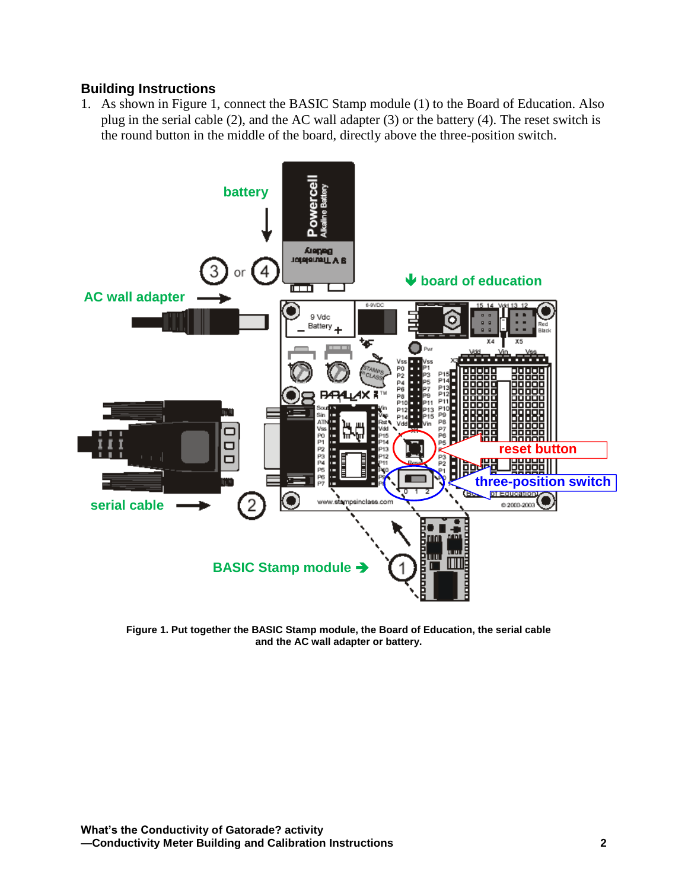## **Building Instructions**

1. As shown in Figure 1, connect the BASIC Stamp module (1) to the Board of Education. Also plug in the serial cable (2), and the AC wall adapter (3) or the battery (4). The reset switch is the round button in the middle of the board, directly above the three-position switch.



**Figure 1. Put together the BASIC Stamp module, the Board of Education, the serial cable and the AC wall adapter or battery.**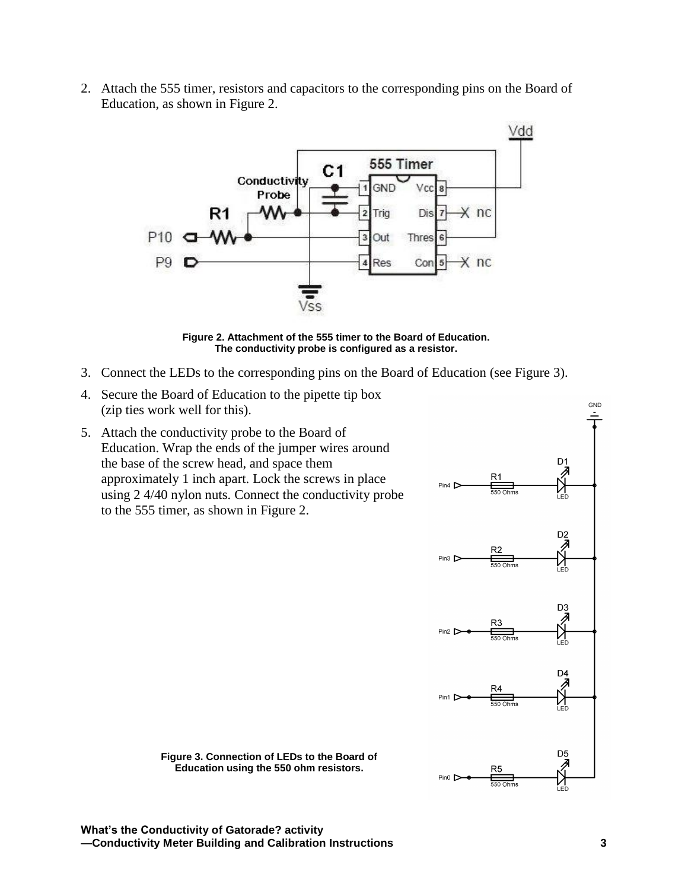2. Attach the 555 timer, resistors and capacitors to the corresponding pins on the Board of Education, as shown in Figure 2.



**Figure 2. Attachment of the 555 timer to the Board of Education. The conductivity probe is configured as a resistor.**

- 3. Connect the LEDs to the corresponding pins on the Board of Education (see Figure 3).
- 4. Secure the Board of Education to the pipette tip box (zip ties work well for this).
- 5. Attach the conductivity probe to the Board of Education. Wrap the ends of the jumper wires around the base of the screw head, and space them approximately 1 inch apart. Lock the screws in place using 2 4/40 nylon nuts. Connect the conductivity probe to the 555 timer, as shown in Figure 2.



**Figure 3. Connection of LEDs to the Board of Education using the 550 ohm resistors.**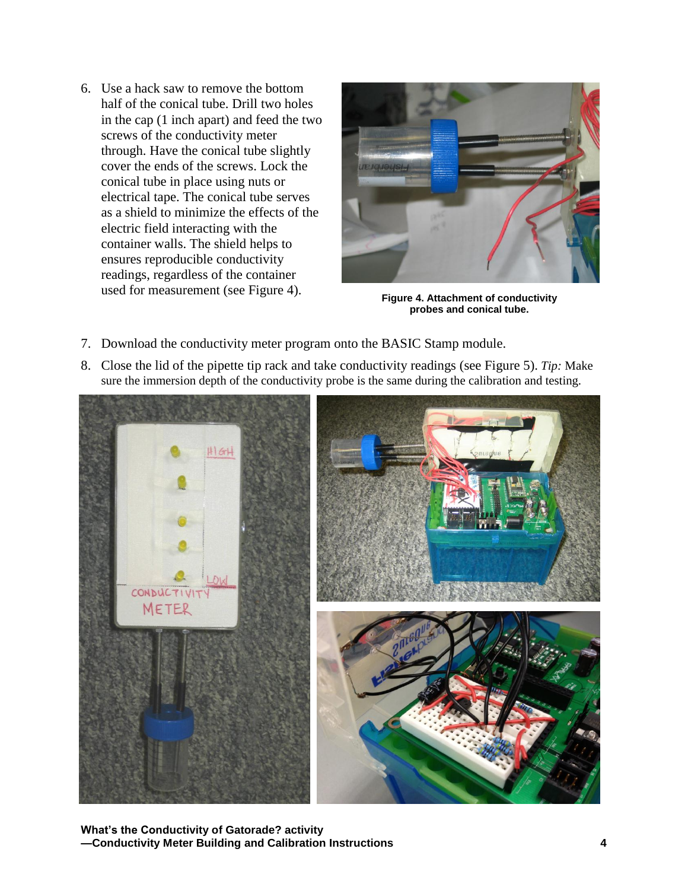6. Use a hack saw to remove the bottom half of the conical tube. Drill two holes in the cap (1 inch apart) and feed the two screws of the conductivity meter through. Have the conical tube slightly cover the ends of the screws. Lock the conical tube in place using nuts or electrical tape. The conical tube serves as a shield to minimize the effects of the electric field interacting with the container walls. The shield helps to ensures reproducible conductivity readings, regardless of the container used for measurement (see Figure 4).



**Figure 4. Attachment of conductivity probes and conical tube.**

- 7. Download the conductivity meter program onto the BASIC Stamp module.
- 8. Close the lid of the pipette tip rack and take conductivity readings (see Figure 5). *Tip:* Make sure the immersion depth of the conductivity probe is the same during the calibration and testing.



**What's the Conductivity of Gatorade? activity —Conductivity Meter Building and Calibration Instructions 4**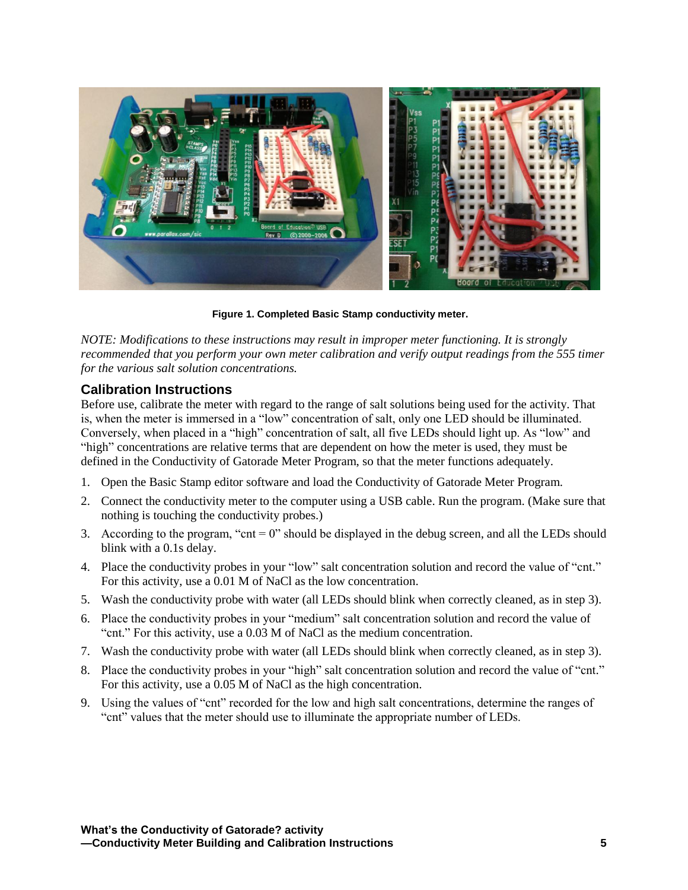

**Figure 1. Completed Basic Stamp conductivity meter.**

*NOTE: Modifications to these instructions may result in improper meter functioning. It is strongly recommended that you perform your own meter calibration and verify output readings from the 555 timer for the various salt solution concentrations.*

## **Calibration Instructions**

Before use, calibrate the meter with regard to the range of salt solutions being used for the activity. That is, when the meter is immersed in a "low" concentration of salt, only one LED should be illuminated. Conversely, when placed in a "high" concentration of salt, all five LEDs should light up. As "low" and "high" concentrations are relative terms that are dependent on how the meter is used, they must be defined in the Conductivity of Gatorade Meter Program, so that the meter functions adequately.

- 1. Open the Basic Stamp editor software and load the Conductivity of Gatorade Meter Program.
- 2. Connect the conductivity meter to the computer using a USB cable. Run the program. (Make sure that nothing is touching the conductivity probes.)
- 3. According to the program, "cnt = 0" should be displayed in the debug screen, and all the LEDs should blink with a 0.1s delay.
- 4. Place the conductivity probes in your "low" salt concentration solution and record the value of "cnt." For this activity, use a 0.01 M of NaCl as the low concentration.
- 5. Wash the conductivity probe with water (all LEDs should blink when correctly cleaned, as in step 3).
- 6. Place the conductivity probes in your "medium" salt concentration solution and record the value of "cnt." For this activity, use a 0.03 M of NaCl as the medium concentration.
- 7. Wash the conductivity probe with water (all LEDs should blink when correctly cleaned, as in step 3).
- 8. Place the conductivity probes in your "high" salt concentration solution and record the value of "cnt." For this activity, use a 0.05 M of NaCl as the high concentration.
- 9. Using the values of "cnt" recorded for the low and high salt concentrations, determine the ranges of "cnt" values that the meter should use to illuminate the appropriate number of LEDs.